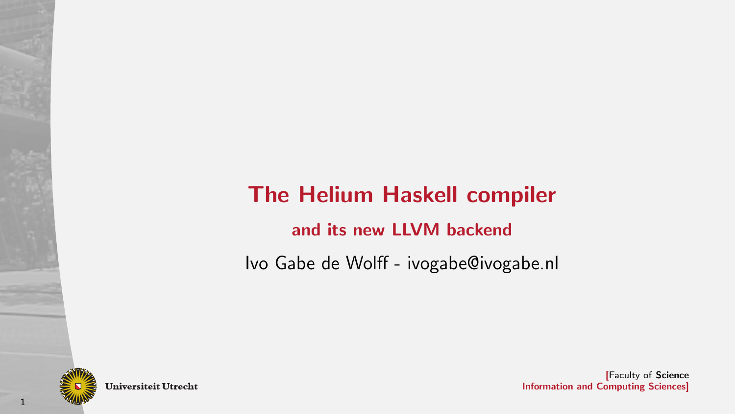# The Helium Haskell compiler

and its new LLVM backend

Ivo Gabe de Wolff - ivogabe@ivogabe.nl



1

**Universiteit Utrecht**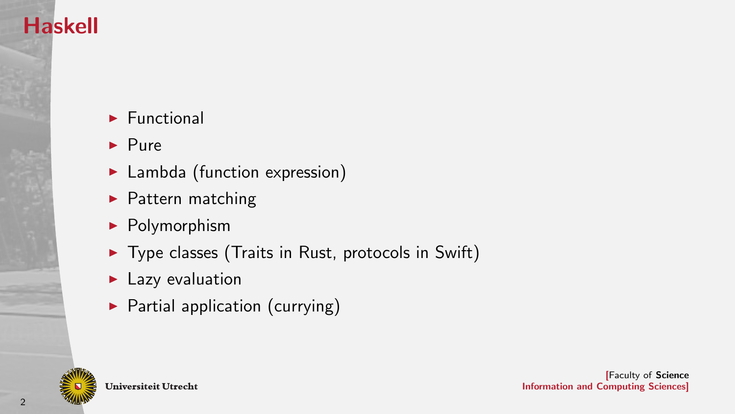## Haskell

- $\blacktriangleright$  Functional
- $\blacktriangleright$  Pure
- $\blacktriangleright$  Lambda (function expression)
- $\blacktriangleright$  Pattern matching
- $\blacktriangleright$  Polymorphism
- $\blacktriangleright$  Type classes (Traits in Rust, protocols in Swift)
- $\blacktriangleright$  Lazy evaluation
- $\blacktriangleright$  Partial application (currying)

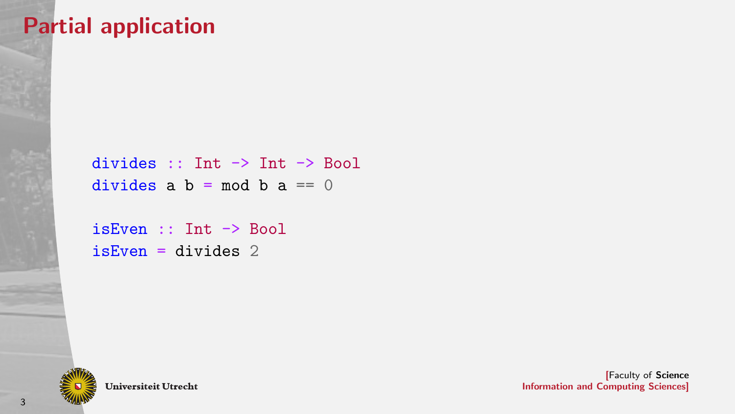### Partial application

```
divides :: Int -> Int -> Bool
divides a b = mod b a == 0
```

```
isEven :: Int -> Bool
isEven = divides 2
```
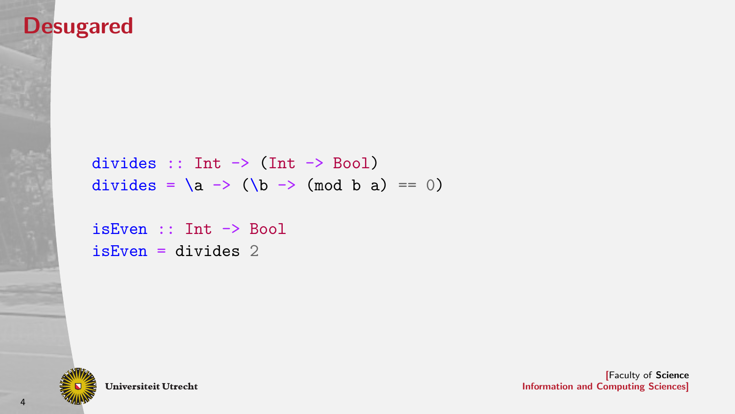### Desugared

```
divides :: Int \rightarrow (Int \rightarrow Bool)
divides = \langle a \rangle -> (\langle b \rangle -> (mod b a) == 0)
```

```
isEven :: Int -> Bool
isEven = divides 2
```
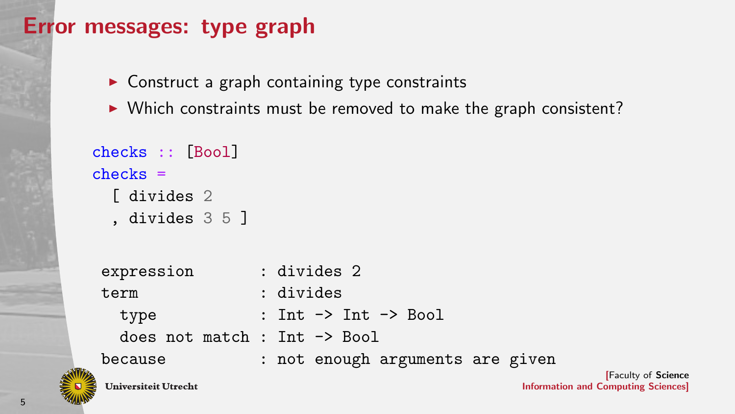### Error messages: type graph

- $\triangleright$  Construct a graph containing type constraints
- $\triangleright$  Which constraints must be removed to make the graph consistent?

```
checks :: [Bool]
checks =[ divides 2
  , divides 3 5 ]
 expression : divides 2
```
term : divides type : Int -> Int -> Bool does not match : Int -> Bool because : not enough arguments are given **Universiteit Utrecht**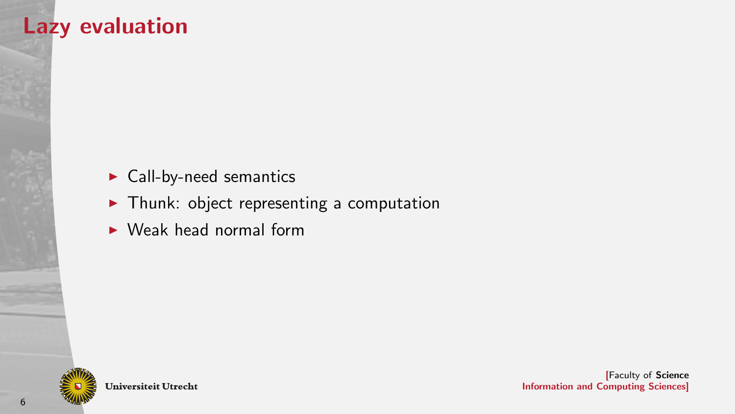### Lazy evaluation

- $\blacktriangleright$  Call-by-need semantics
- $\blacktriangleright$  Thunk: object representing a computation
- $\blacktriangleright$  Weak head normal form

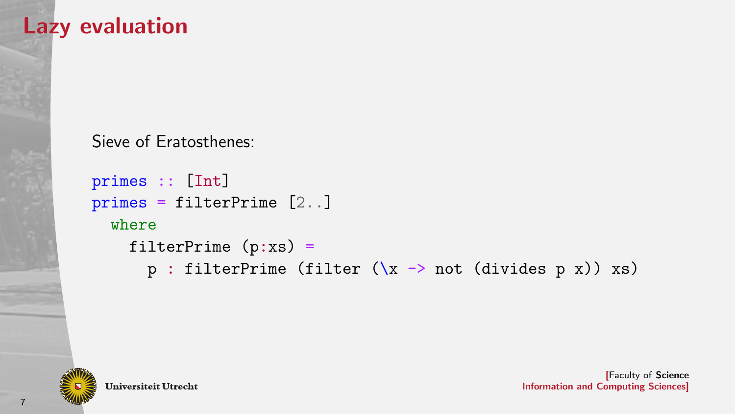### Lazy evaluation

Sieve of Eratosthenes:

```
primes :: [Int]
primes = filterPrime [2..]
  where
    filterPrime (p:xs) =p : filterPrime (filter (\x -\n not (divides p x)) xs)
```
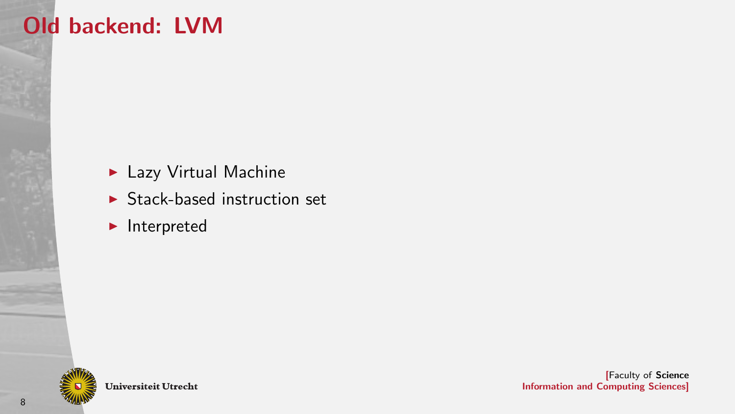# Old backend: LVM

- $\blacktriangleright$  Lazy Virtual Machine
- $\triangleright$  Stack-based instruction set
- $\blacktriangleright$  Interpreted

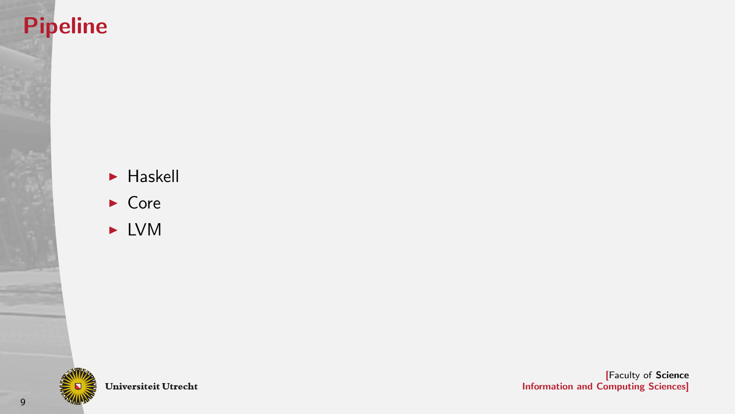### Pipeline

- $\blacktriangleright$  Haskell
- $\triangleright$  Core
- $\blacktriangleright$  LVM



Universiteit Utrecht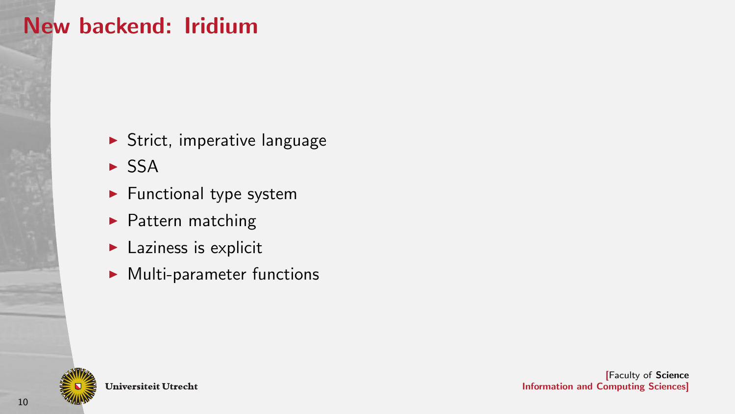## New backend: Iridium

- $\blacktriangleright$  Strict, imperative language
- $\triangleright$  SSA
- $\blacktriangleright$  Functional type system
- $\blacktriangleright$  Pattern matching
- $\blacktriangleright$  Laziness is explicit
- $\blacktriangleright$  Multi-parameter functions

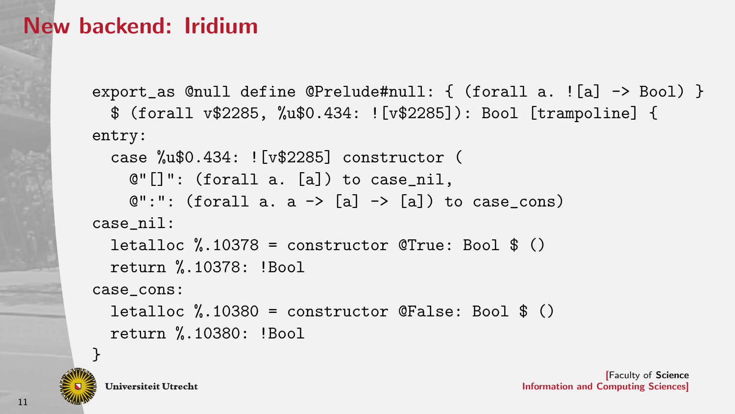### New backend: Iridium

```
export_as @null define @Prelude#null: { (forall a. ![a] -> Bool) }
  $ (forall v$2285, %u$0.434: ![v$2285]): Bool [trampoline] {
entry:
  case %u$0.434: ![v$2285] constructor (
    \mathbb{C}^{\prime\prime} []": (forall a. [a]) to case_nil,
    Q'':": (forall a. a \rightarrow [a] \rightarrow [a]) to case cons)
case_nil:
  letalloc \frac{0}{10378} = constructor @True: Bool $ ()
  return %.10378: !Bool
case_cons:
  letalloc %.10380 = constructor @False: Bool $ ()
  return %.10380: !Bool
}
```
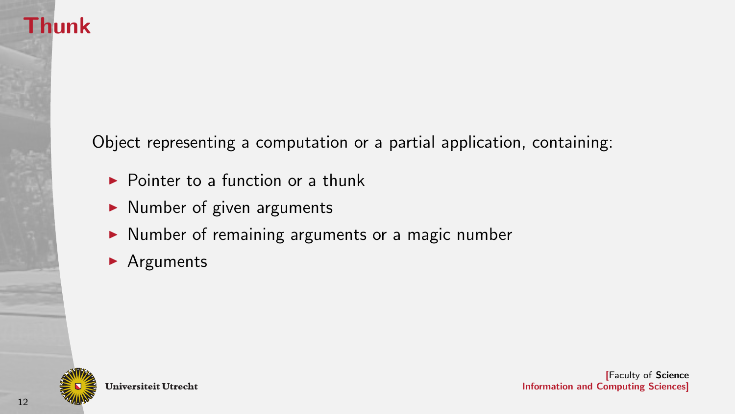## **Thunk**

Object representing a computation or a partial application, containing:

- $\triangleright$  Pointer to a function or a thunk
- $\blacktriangleright$  Number of given arguments
- $\triangleright$  Number of remaining arguments or a magic number
- $\blacktriangleright$  Arguments

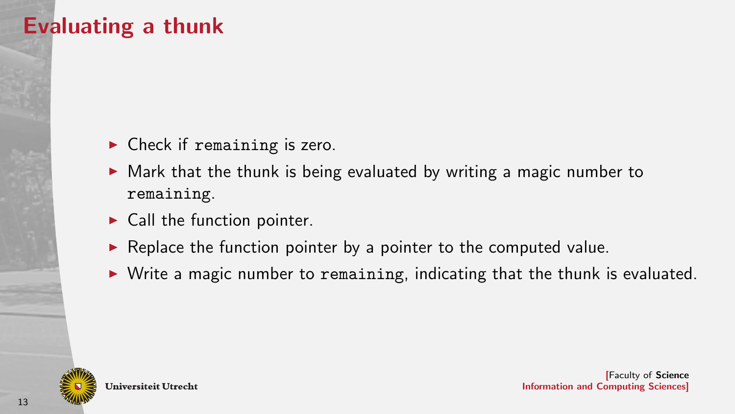### Evaluating a thunk

- $\blacktriangleright$  Check if remaining is zero.
- $\triangleright$  Mark that the thunk is being evaluated by writing a magic number to remaining.
- $\blacktriangleright$  Call the function pointer.
- $\triangleright$  Replace the function pointer by a pointer to the computed value.
- $\triangleright$  Write a magic number to remaining, indicating that the thunk is evaluated.

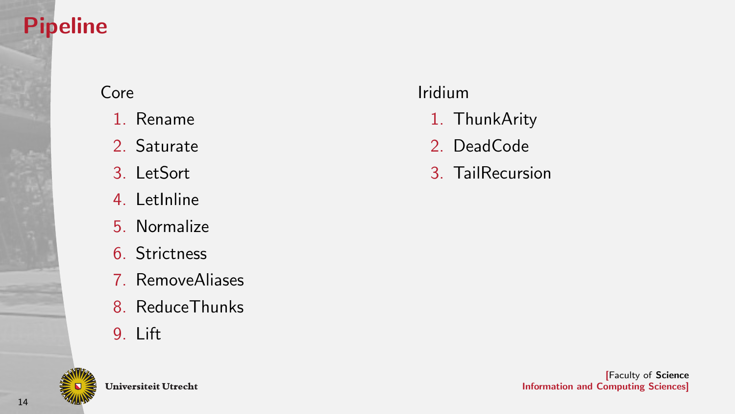# Pipeline

### Core

- 1. Rename
- 2. Saturate
- 3. LetSort
- 4. LetInline
- 5. Normalize
- 6. Strictness
- 7. RemoveAliases
- 8. ReduceThunks
- 9. Lift



Universiteit Utrecht

### Iridium

- 1. ThunkArity
- 2. DeadCode
- 3. TailRecursion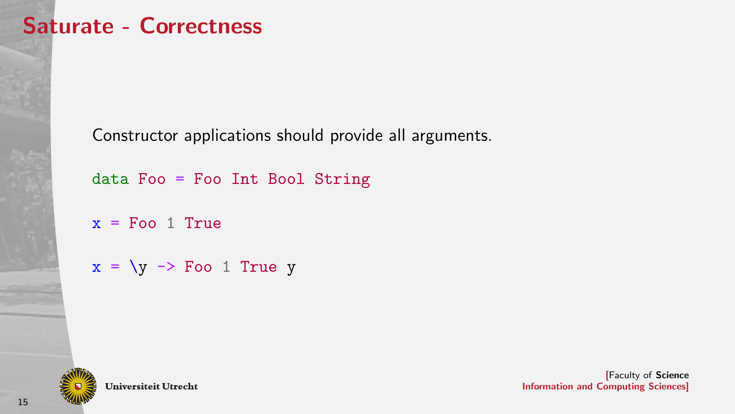### Saturate - Correctness

Constructor applications should provide all arguments.

data Foo = Foo Int Bool String

```
x = Foo 1 True
```

```
x = \y \rightarrow Foo 1 True y
```


**Universiteit Utrecht**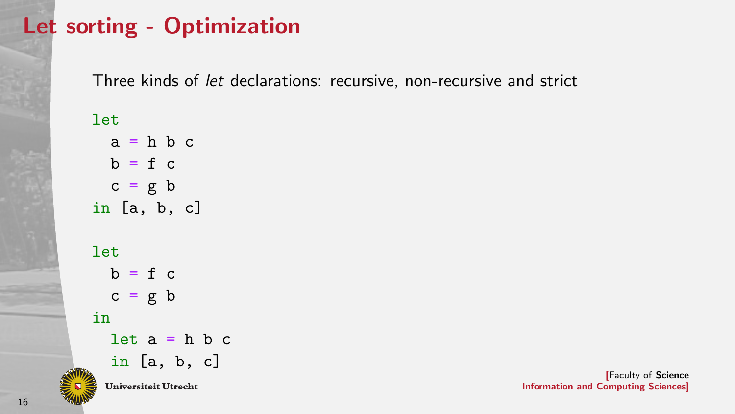## Let sorting - Optimization

Three kinds of let declarations: recursive, non-recursive and strict

#### let

 $a = h b c$  $b = f c$  $c = g b$ in [a, b, c]

#### let

 $b = f c$  $c = g b$ in  $let a = h b c$ in [a, b, c]**Universiteit Utrecht**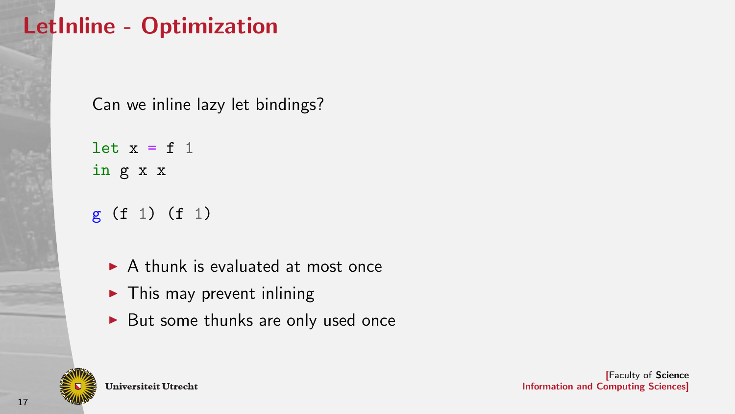# LetInline - Optimization

Can we inline lazy let bindings?

let  $x = f 1$ in g x x

g (f 1) (f 1)

- $\triangleright$  A thunk is evaluated at most once
- $\blacktriangleright$  This may prevent inlining
- $\blacktriangleright$  But some thunks are only used once

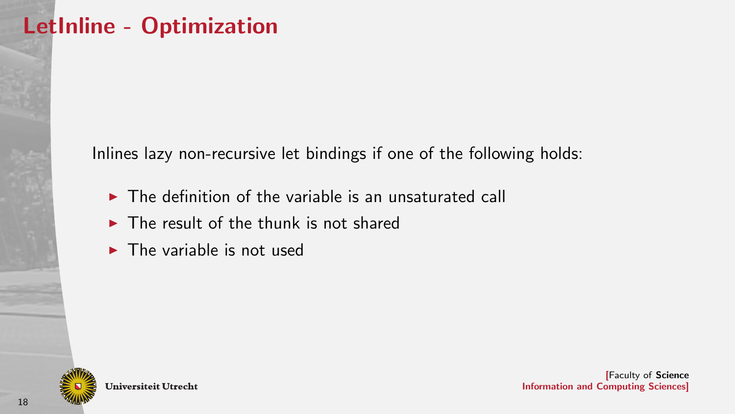Inlines lazy non-recursive let bindings if one of the following holds:

- $\triangleright$  The definition of the variable is an unsaturated call
- $\triangleright$  The result of the thunk is not shared
- $\blacktriangleright$  The variable is not used

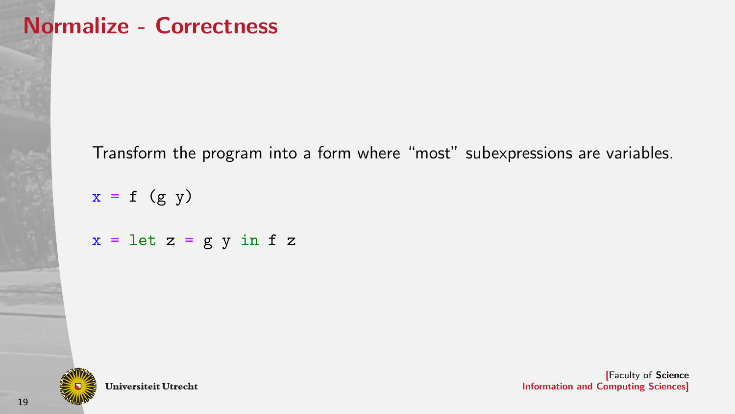### Normalize - Correctness

Transform the program into a form where "most" subexpressions are variables.

 $x = f (g y)$  $x = \text{let } z = g y \text{ in } f z$ 

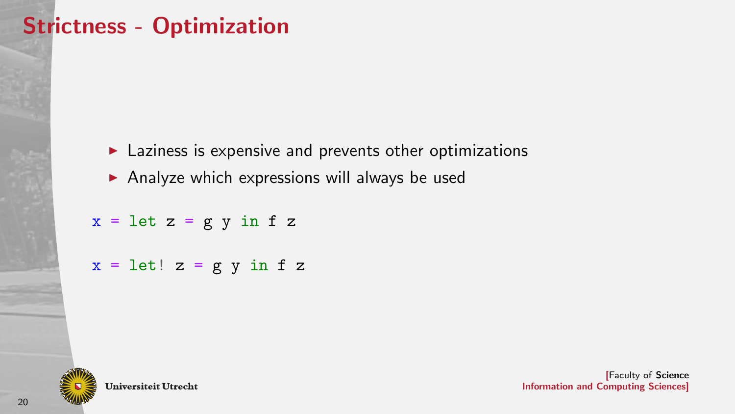# Strictness - Optimization

- $\blacktriangleright$  Laziness is expensive and prevents other optimizations
- $\triangleright$  Analyze which expressions will always be used

 $x = \text{let } z = g y \text{ in } f z$ 

 $x = let! z = g y in f z$ 



**Universiteit Utrecht**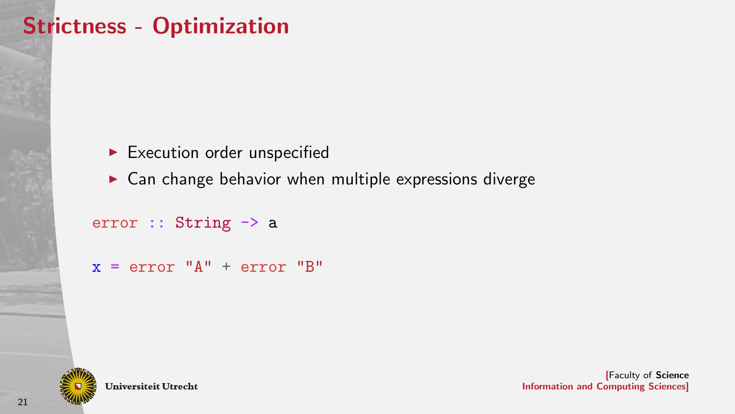# Strictness - Optimization

- $\blacktriangleright$  Execution order unspecified
- $\triangleright$  Can change behavior when multiple expressions diverge

```
error :: String -> a
```

```
x = error "A" + error "B"
```


**Universiteit Utrecht**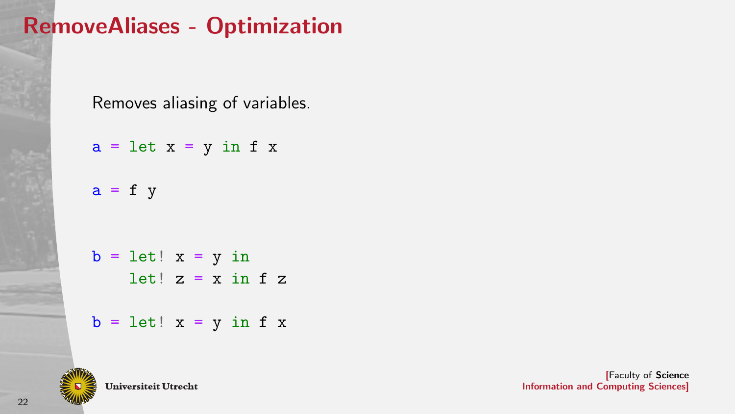# RemoveAliases - Optimization

Removes aliasing of variables.

 $a = let x = y in f x$  $a = f y$  $b = let! x = y in$ let!  $z = x$  in  $f z$  $b = let! x = y in f x$ 



**Universiteit Utrecht**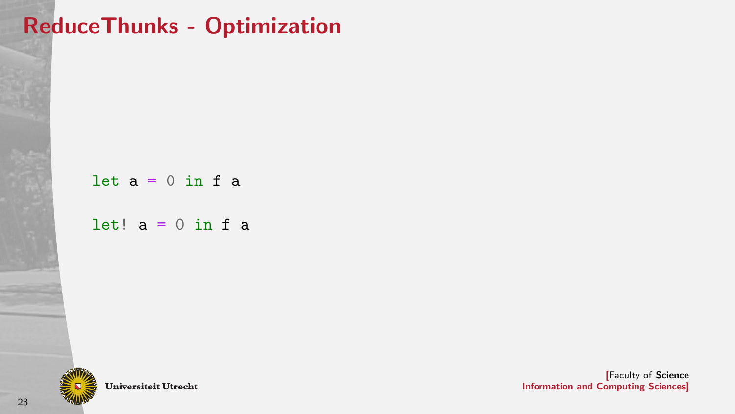# ReduceThunks - Optimization

# let  $a = 0$  in f a let!  $a = 0$  in f a

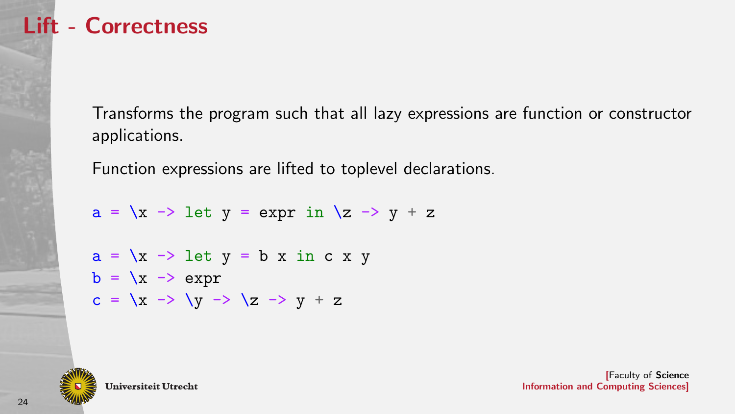

Transforms the program such that all lazy expressions are function or constructor applications.

Function expressions are lifted to toplevel declarations.

```
a = \{x \rightarrow \} let y = expr in \{z \rightarrow y + z\}
```

```
a = \{x \rightarrow\} let y = b x in c x y
b = \sqrt{x} \rightarrow \text{expr}c = \langle x \rangle -> \langle y \rangle -> \langle z \rangle -> y + z
```
**Universiteit Utrecht**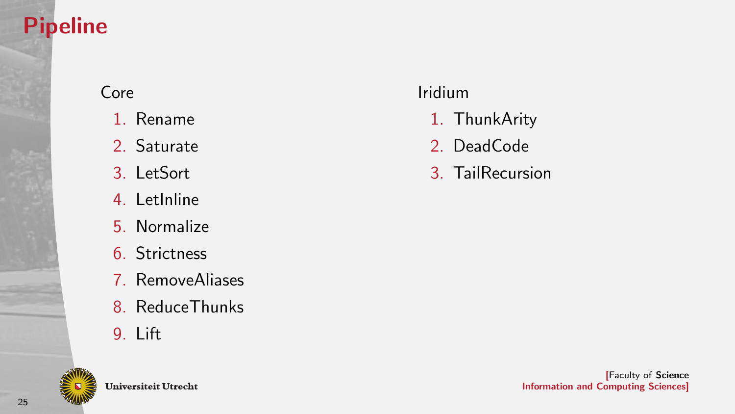# Pipeline

### Core

- 1. Rename
- 2. Saturate
- 3. LetSort
- 4. LetInline
- 5. Normalize
- 6. Strictness
- 7. RemoveAliases
- 8. ReduceThunks
- 9. Lift



### Iridium

- 1. ThunkArity
- 2. DeadCode
- 3. TailRecursion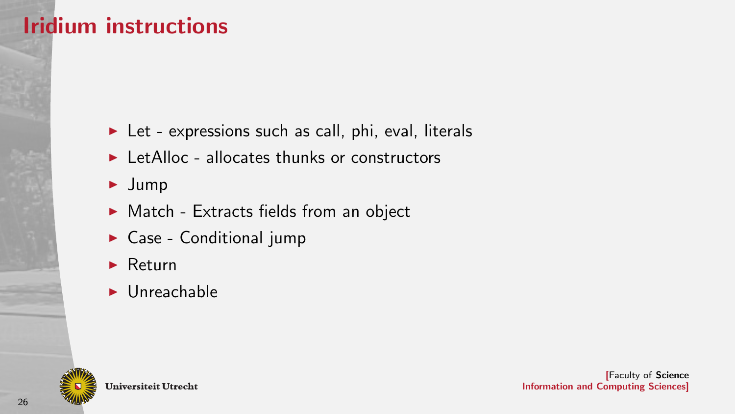### Iridium instructions

- $\blacktriangleright$  Let expressions such as call, phi, eval, literals
- $\blacktriangleright$  LetAlloc allocates thunks or constructors
- $\blacktriangleright$  Jump
- $\blacktriangleright$  Match Extracts fields from an object
- $\triangleright$  Case Conditional jump
- $\blacktriangleright$  Return
- $\blacktriangleright$  Unreachable

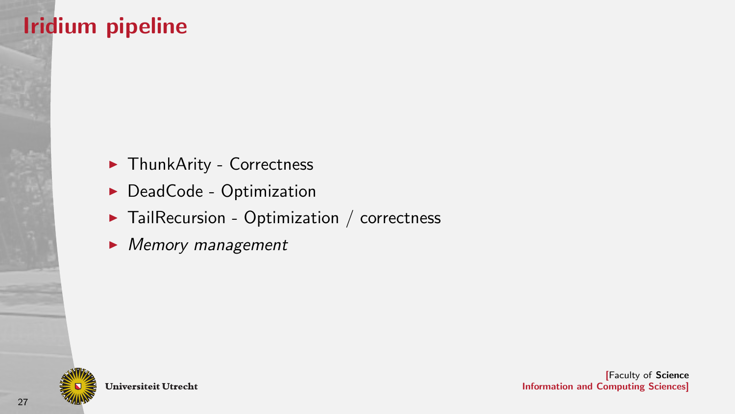# Iridium pipeline

- $\blacktriangleright$  ThunkArity Correctness
- $\blacktriangleright$  DeadCode Optimization
- $\blacktriangleright$  TailRecursion Optimization / correctness
- $\blacktriangleright$  Memory management

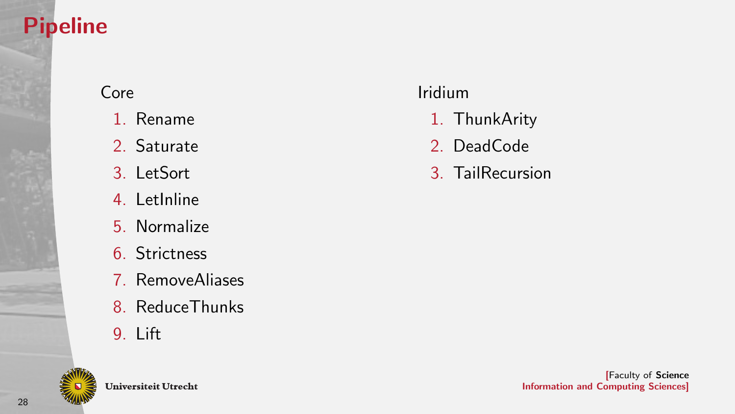# Pipeline

### Core

- 1. Rename
- 2. Saturate
- 3. LetSort
- 4. LetInline
- 5. Normalize
- 6. Strictness
- 7. RemoveAliases
- 8. ReduceThunks
- 9. Lift



### Iridium

- 1. ThunkArity
- 2. DeadCode
- 3. TailRecursion